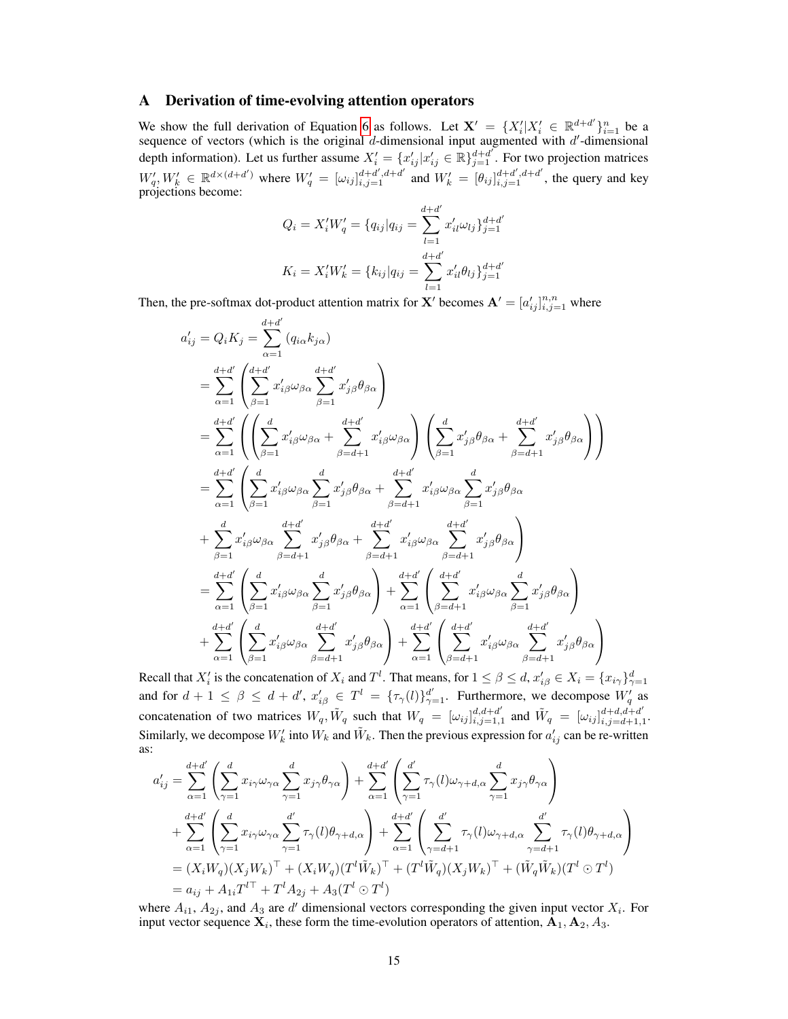## A Derivation of time-evolving attention operators

We show the full derivation of Equation [6](#page--1-0) as follows. Let  $X' = \{X_i'|X_i' \in \mathbb{R}^{d+d'}\}_{i=1}^n$  be a sequence of vectors (which is the original  $d$ -dimensional input augmented with  $d'$ -dimensional depth information). Let us further assume  $X'_i = \{x'_{ij} | x'_{ij} \in \mathbb{R}\}_{j=1}^{d+d'}$ . For two projection matrices  $W'_{q}$ ,  $W'_{k} \in \mathbb{R}^{d \times (d+d')}$  where  $W'_{q} = [\omega_{ij}]_{i,j=1}^{d+d',d+d'}$  and  $W'_{k} = [\theta_{ij}]_{i,j=1}^{d+d',d+d'}$ , the query and key projections become:

$$
Q_i = X_i' W_q' = \{q_{ij} | q_{ij} = \sum_{l=1}^{d+d'} x_{il}' \omega_{lj} \}_{j=1}^{d+d'}
$$

$$
K_i = X_i' W_k' = \{k_{ij} | q_{ij} = \sum_{l=1}^{d+d'} x_{il}' \theta_{lj} \}_{j=1}^{d+d'}
$$

Then, the pre-softmax dot-product attention matrix for X' becomes  $A' = [a'_{ij}]_{i,j=1}^{n,n}$  where

$$
a'_{ij} = Q_i K_j = \sum_{\alpha=1}^{d+d'} (q_{i\alpha} k_{j\alpha})
$$
  
\n
$$
= \sum_{\alpha=1}^{d+d'} \left( \sum_{\beta=1}^{d+d'} x'_{i\beta} \omega_{\beta\alpha} \sum_{\beta=1}^{d+d'} x'_{j\beta} \theta_{\beta\alpha} \right)
$$
  
\n
$$
= \sum_{\alpha=1}^{d+d'} \left( \left( \sum_{\beta=1}^{d} x'_{i\beta} \omega_{\beta\alpha} + \sum_{\beta=d+1}^{d+d'} x'_{i\beta} \omega_{\beta\alpha} \right) \left( \sum_{\beta=1}^{d} x'_{j\beta} \theta_{\beta\alpha} + \sum_{\beta=d+1}^{d+d'} x'_{j\beta} \theta_{\beta\alpha} \right) \right)
$$
  
\n
$$
= \sum_{\alpha=1}^{d+d'} \left( \sum_{\beta=1}^{d} x'_{i\beta} \omega_{\beta\alpha} \sum_{\beta=1}^{d} x'_{j\beta} \theta_{\beta\alpha} + \sum_{\beta=d+1}^{d+d'} x'_{i\beta} \omega_{\beta\alpha} \sum_{\beta=1}^{d} x'_{j\beta} \theta_{\beta\alpha} \right)
$$
  
\n
$$
+ \sum_{\beta=1}^{d} x'_{i\beta} \omega_{\beta\alpha} \sum_{\beta=d+1}^{d+d'} x'_{j\beta} \theta_{\beta\alpha} + \sum_{\beta=d+1}^{d+d'} x'_{i\beta} \omega_{\beta\alpha} \sum_{\beta=d+1}^{d+d'} x'_{j\beta} \theta_{\beta\alpha} \right)
$$
  
\n
$$
= \sum_{\alpha=1}^{d+d'} \left( \sum_{\beta=1}^{d} x'_{i\beta} \omega_{\beta\alpha} \sum_{\beta=1}^{d} x'_{j\beta} \theta_{\beta\alpha} \right) + \sum_{\alpha=1}^{d+d'} \left( \sum_{\beta=d+1}^{d+d'} x'_{i\beta} \omega_{\beta\alpha} \sum_{\beta=1}^{d'} x'_{j\beta} \theta_{\beta\alpha} \right)
$$
  
\n
$$
+ \sum_{\alpha=1}^{d+d'} \left( \sum_{\beta=1}^{d} x'_{i\beta} \omega_{\beta\alpha} \sum_{\beta=d+1}^{d+d'} x'
$$

Recall that  $X_i'$  is the concatenation of  $X_i$  and  $T^l$ . That means, for  $1 \le \beta \le d$ ,  $x_{i\beta}' \in X_i = \{x_{i\gamma}\}_{\gamma=1}^d$ and for  $d+1 \leq \beta \leq d+d'$ ,  $x'_{i\beta} \in T^l = {\{\tau_{\gamma}(l)\}}_{\gamma=1}^{d'}$ . Furthermore, we decompose  $W'_q$  as concatenation of two matrices  $W_q$ ,  $\tilde{W}_q$  such that  $W_q = [\omega_{ij}]_{i,j=1}^{d,d+d'}$  $\sum_{i,j=1,1}^{d,d+d'}$  and  $\tilde{W}_q = [\omega_{ij}]_{i,j=d+1,1}^{d+d,d+d'}$  $\begin{array}{c} a+a,a+a \ i,j=d+1,1 \end{array}$ Similarly, we decompose  $W'_k$  into  $W_k$  and  $\tilde{W}_k$ . Then the previous expression for  $a'_{ij}$  can be re-written as:

$$
a'_{ij} = \sum_{\alpha=1}^{d+d'} \left( \sum_{\gamma=1}^d x_{i\gamma} \omega_{\gamma\alpha} \sum_{\gamma=1}^d x_{j\gamma} \theta_{\gamma\alpha} \right) + \sum_{\alpha=1}^{d+d'} \left( \sum_{\gamma=1}^{d'} \tau_{\gamma}(l) \omega_{\gamma+d,\alpha} \sum_{\gamma=1}^d x_{j\gamma} \theta_{\gamma\alpha} \right)
$$
  
+ 
$$
\sum_{\alpha=1}^{d+d'} \left( \sum_{\gamma=1}^d x_{i\gamma} \omega_{\gamma\alpha} \sum_{\gamma=1}^{d'} \tau_{\gamma}(l) \theta_{\gamma+d,\alpha} \right) + \sum_{\alpha=1}^{d+d'} \left( \sum_{\gamma=d+1}^{d'} \tau_{\gamma}(l) \omega_{\gamma+d,\alpha} \sum_{\gamma=d+1}^{d'} \tau_{\gamma}(l) \theta_{\gamma+d,\alpha} \right)
$$
  
= 
$$
(X_i W_q)(X_j W_k)^\top + (X_i W_q)(T^l \tilde{W}_k)^\top + (T^l \tilde{W}_q)(X_j W_k)^\top + (\tilde{W}_q \tilde{W}_k)(T^l \odot T^l)
$$
  
= 
$$
a_{ij} + A_{1i} T^{l\top} + T^l A_{2j} + A_3 (T^l \odot T^l)
$$

where  $A_{i1}$ ,  $A_{2j}$ , and  $A_3$  are d' dimensional vectors corresponding the given input vector  $X_i$ . For input vector sequence  $\mathbf{X}_i$ , these form the time-evolution operators of attention,  $\mathbf{A}_1, \mathbf{A}_2, A_3$ .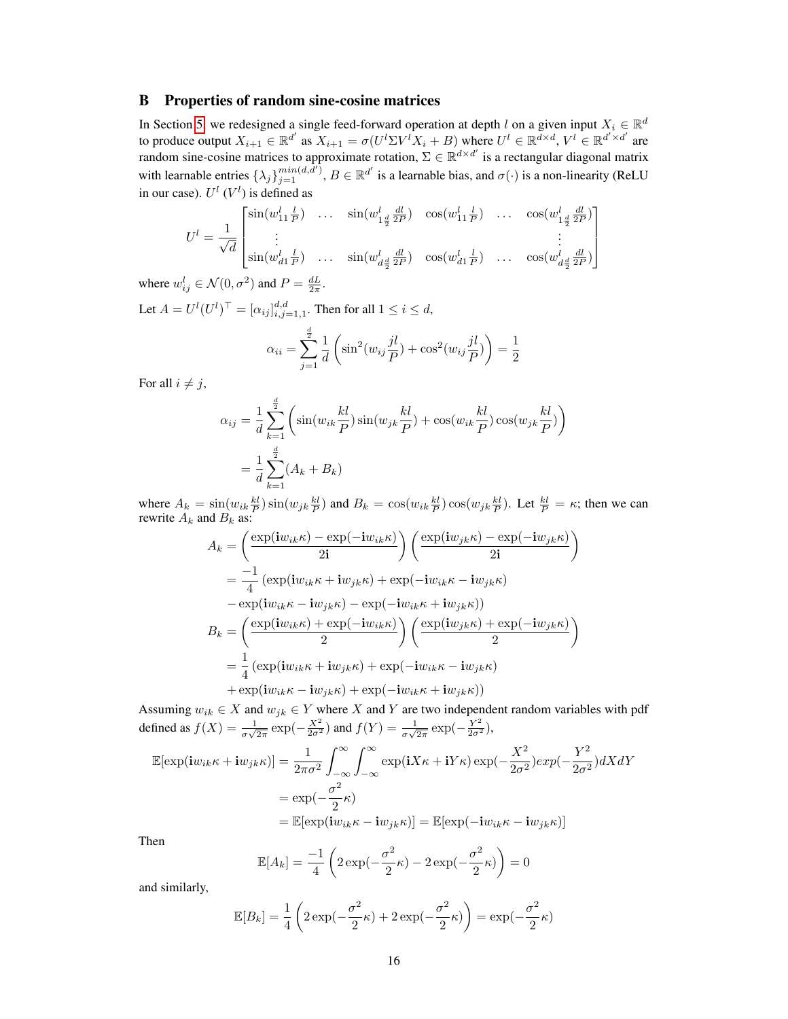## B Properties of random sine-cosine matrices

In Section [5,](#page--1-1) we redesigned a single feed-forward operation at depth l on a given input  $X_i \in \mathbb{R}^d$ to produce output  $X_{i+1} \in \mathbb{R}^{d'}$  as  $X_{i+1} = \sigma(U^l \Sigma V^l X_i + B)$  where  $U^l \in \mathbb{R}^{d \times d}$ ,  $V^l \in \mathbb{R}^{d' \times d'}$  are random sine-cosine matrices to approximate rotation,  $\Sigma \in \mathbb{R}^{d \times d'}$  is a rectangular diagonal matrix with learnable entries  $\{\lambda_j\}_{j=1}^{min(d,\tilde{d}')}$ ,  $B \in \mathbb{R}^{d'}$  is a learnable bias, and  $\sigma(\cdot)$  is a non-linearity (ReLU in our case).  $U^l$  ( $V^l$ ) is defined as

$$
U^{l} = \frac{1}{\sqrt{d}} \begin{bmatrix} \sin(w_{11}^{l} \frac{l}{P}) & \dots & \sin(w_{1\frac{d}{2}}^{l} \frac{dl}{2P}) & \cos(w_{11}^{l} \frac{l}{P}) & \dots & \cos(w_{1\frac{d}{2}}^{l} \frac{dl}{2P}) \\ \vdots & \vdots & \vdots & \vdots \\ \sin(w_{d1}^{l} \frac{l}{P}) & \dots & \sin(w_{d\frac{d}{2}}^{l} \frac{dl}{2P}) & \cos(w_{d1}^{l} \frac{l}{P}) & \dots & \cos(w_{d\frac{d}{2}}^{l} \frac{dl}{2P}) \end{bmatrix}
$$

where  $w_{ij}^l \in \mathcal{N}(0, \sigma^2)$  and  $P = \frac{dL}{2\pi}$ . Let  $A = U^l (U^l)^\top = [\alpha_{ij}]_{i,j=1,1}^{d,d}$ . Then for all  $1 \le i \le d$ ,

$$
\alpha_{ii} = \sum_{j=1}^{\frac{d}{2}} \frac{1}{d} \left( \sin^2(w_{ij} \frac{j l}{P}) + \cos^2(w_{ij} \frac{j l}{P}) \right) = \frac{1}{2}
$$

For all  $i \neq j$ ,

$$
\alpha_{ij} = \frac{1}{d} \sum_{k=1}^{\frac{d}{2}} \left( \sin(w_{ik} \frac{kl}{P}) \sin(w_{jk} \frac{kl}{P}) + \cos(w_{ik} \frac{kl}{P}) \cos(w_{jk} \frac{kl}{P}) \right)
$$

$$
= \frac{1}{d} \sum_{k=1}^{\frac{d}{2}} (A_k + B_k)
$$

2

where  $A_k = \sin(w_{ik} \frac{kl}{P}) \sin(w_{jk} \frac{kl}{P})$  and  $B_k = \cos(w_{ik} \frac{kl}{P}) \cos(w_{jk} \frac{kl}{P})$ . Let  $\frac{kl}{P} = \kappa$ ; then we can rewrite  $A_k$  and  $B_k$  as:

$$
A_k = \left(\frac{\exp(iw_{ik}\kappa) - \exp(-iw_{ik}\kappa)}{2i}\right) \left(\frac{\exp(iw_{jk}\kappa) - \exp(-iw_{jk}\kappa)}{2i}\right)
$$
  
\n
$$
= \frac{-1}{4} \left(\exp(iw_{ik}\kappa + iw_{jk}\kappa) + \exp(-iw_{ik}\kappa - iw_{jk}\kappa) - \exp(iw_{ik}\kappa - iw_{jk}\kappa)\right)
$$
  
\n
$$
B_k = \left(\frac{\exp(iw_{ik}\kappa) + \exp(-iw_{ik}\kappa)}{2}\right) \left(\frac{\exp(iw_{jk}\kappa) + \exp(-iw_{jk}\kappa)}{2}\right)
$$
  
\n
$$
= \frac{1}{4} \left(\exp(iw_{ik}\kappa + iw_{jk}\kappa) + \exp(-iw_{ik}\kappa - iw_{jk}\kappa) + \exp(iw_{ik}\kappa - iw_{jk}\kappa)\right)
$$

Assuming  $w_{ik} \in X$  and  $w_{jk} \in Y$  where X and Y are two independent random variables with pdf defined as  $f(X) = \frac{1}{\sigma\sqrt{2\pi}}\exp(-\frac{X^2}{2\sigma^2})$  and  $f(Y) = \frac{1}{\sigma\sqrt{2\pi}}\exp(-\frac{Y^2}{2\sigma^2})$ ,

$$
\mathbb{E}[\exp(iw_{ik}\kappa + i w_{jk}\kappa)] = \frac{1}{2\pi\sigma^2} \int_{-\infty}^{\infty} \int_{-\infty}^{\infty} \exp(iX\kappa + iY\kappa) \exp(-\frac{X^2}{2\sigma^2}) exp(-\frac{Y^2}{2\sigma^2}) dX dY
$$

$$
= \exp(-\frac{\sigma^2}{2}\kappa)
$$

$$
= \mathbb{E}[\exp(iw_{ik}\kappa - i w_{jk}\kappa)] = \mathbb{E}[\exp(-i w_{ik}\kappa - i w_{jk}\kappa)]
$$

Then

$$
\mathbb{E}[A_k] = \frac{-1}{4} \left( 2 \exp(-\frac{\sigma^2}{2}\kappa) - 2 \exp(-\frac{\sigma^2}{2}\kappa) \right) = 0
$$

and similarly,

$$
\mathbb{E}[B_k] = \frac{1}{4} \left( 2 \exp(-\frac{\sigma^2}{2}\kappa) + 2 \exp(-\frac{\sigma^2}{2}\kappa) \right) = \exp(-\frac{\sigma^2}{2}\kappa)
$$